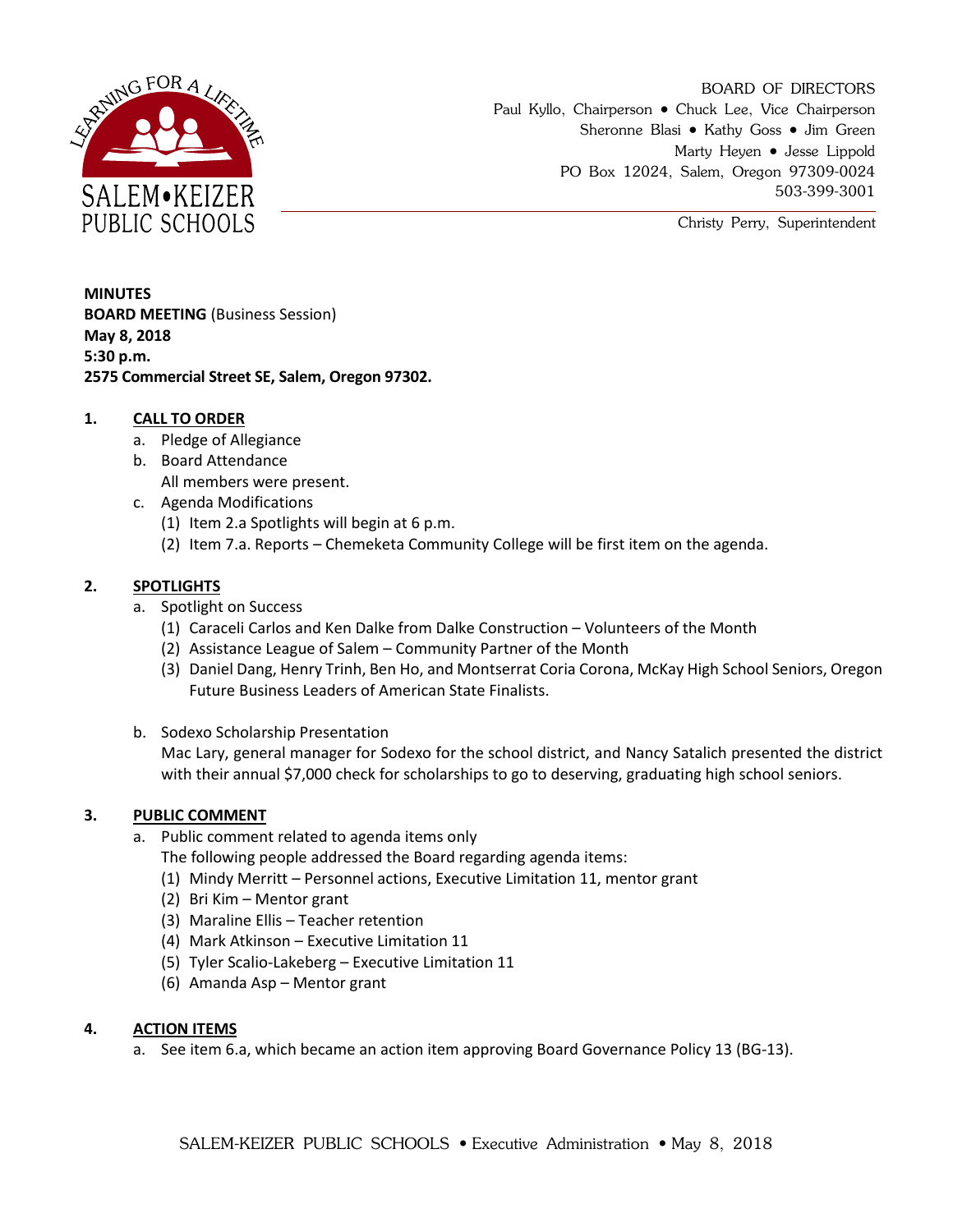

BOARD OF DIRECTORS Paul Kyllo, Chairperson • Chuck Lee, Vice Chairperson Sheronne Blasi • Kathy Goss • Jim Green Marty Heyen • Jesse Lippold PO Box 12024, Salem, Oregon 97309-0024 503-399-3001

Christy Perry, Superintendent

**MINUTES BOARD MEETING** (Business Session) **May 8, 2018 5:30 p.m. 2575 Commercial Street SE, Salem, Oregon 97302.**

# **1. CALL TO ORDER**

- a. Pledge of Allegiance
- b. Board Attendance All members were present.
- c. Agenda Modifications
	- (1) Item 2.a Spotlights will begin at 6 p.m.
	- (2) Item 7.a. Reports Chemeketa Community College will be first item on the agenda.

## **2. SPOTLIGHTS**

- a. Spotlight on Success
	- (1) Caraceli Carlos and Ken Dalke from Dalke Construction Volunteers of the Month
	- (2) Assistance League of Salem Community Partner of the Month
	- (3) Daniel Dang, Henry Trinh, Ben Ho, and Montserrat Coria Corona, McKay High School Seniors, Oregon Future Business Leaders of American State Finalists.
- b. Sodexo Scholarship Presentation

Mac Lary, general manager for Sodexo for the school district, and Nancy Satalich presented the district with their annual \$7,000 check for scholarships to go to deserving, graduating high school seniors.

### **3. PUBLIC COMMENT**

a. Public comment related to agenda items only

The following people addressed the Board regarding agenda items:

- (1) Mindy Merritt Personnel actions, Executive Limitation 11, mentor grant
- (2) Bri Kim Mentor grant
- (3) Maraline Ellis Teacher retention
- (4) Mark Atkinson Executive Limitation 11
- (5) Tyler Scalio-Lakeberg Executive Limitation 11
- (6) Amanda Asp Mentor grant

### **4. ACTION ITEMS**

a. See item 6.a, which became an action item approving Board Governance Policy 13 (BG-13).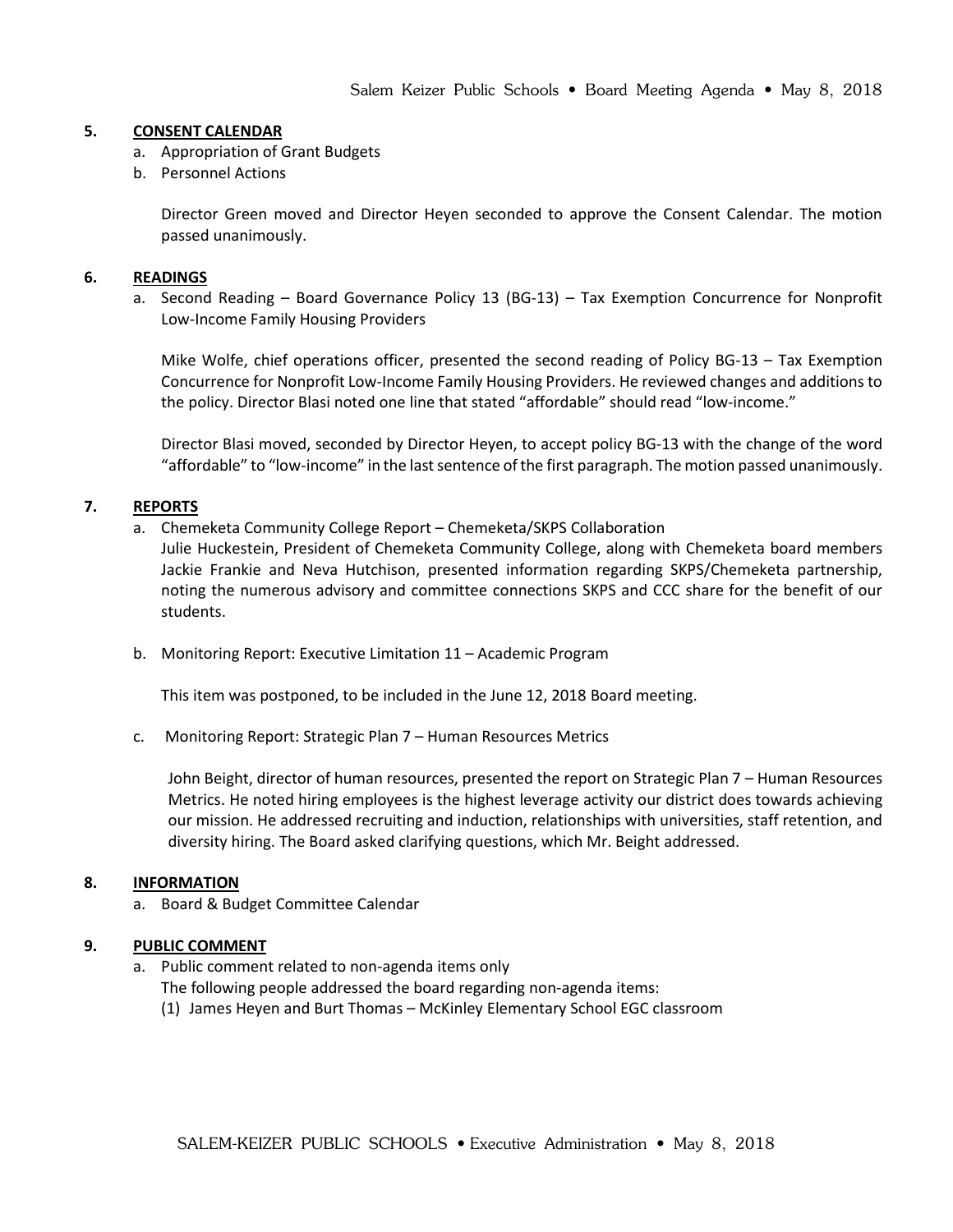#### **5. CONSENT CALENDAR**

- a. Appropriation of Grant Budgets
- b. Personnel Actions

Director Green moved and Director Heyen seconded to approve the Consent Calendar. The motion passed unanimously.

#### **6. READINGS**

a. Second Reading – Board Governance Policy 13 (BG-13) – Tax Exemption Concurrence for Nonprofit Low-Income Family Housing Providers

Mike Wolfe, chief operations officer, presented the second reading of Policy BG-13 – Tax Exemption Concurrence for Nonprofit Low-Income Family Housing Providers. He reviewed changes and additions to the policy. Director Blasi noted one line that stated "affordable" should read "low-income."

Director Blasi moved, seconded by Director Heyen, to accept policy BG-13 with the change of the word "affordable" to "low-income" in the last sentence of the first paragraph. The motion passed unanimously.

#### **7. REPORTS**

a. Chemeketa Community College Report – Chemeketa/SKPS Collaboration

Julie Huckestein, President of Chemeketa Community College, along with Chemeketa board members Jackie Frankie and Neva Hutchison, presented information regarding SKPS/Chemeketa partnership, noting the numerous advisory and committee connections SKPS and CCC share for the benefit of our students.

b. Monitoring Report: Executive Limitation 11 – Academic Program

This item was postponed, to be included in the June 12, 2018 Board meeting.

c. Monitoring Report: Strategic Plan 7 – Human Resources Metrics

John Beight, director of human resources, presented the report on Strategic Plan 7 – Human Resources Metrics. He noted hiring employees is the highest leverage activity our district does towards achieving our mission. He addressed recruiting and induction, relationships with universities, staff retention, and diversity hiring. The Board asked clarifying questions, which Mr. Beight addressed.

### **8. INFORMATION**

a. Board & Budget Committee Calendar

### **9. PUBLIC COMMENT**

a. Public comment related to non-agenda items only

The following people addressed the board regarding non-agenda items:

(1) James Heyen and Burt Thomas – McKinley Elementary School EGC classroom